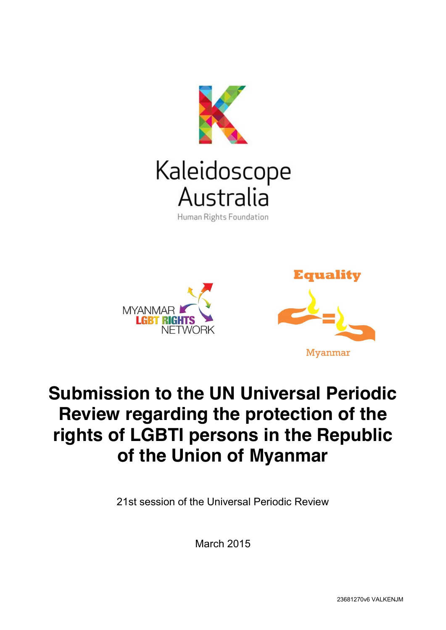





# **Submission to the UN Universal Periodic Review regarding the protection of the rights of LGBTI persons in the Republic of the Union of Myanmar**

21st session of the Universal Periodic Review

March 2015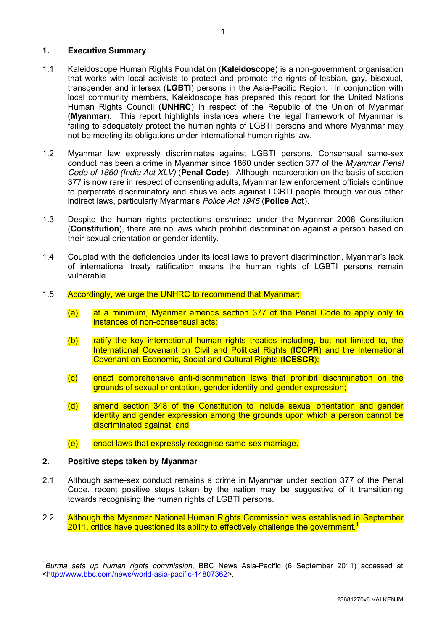### **1. Executive Summary**

- 1.1 Kaleidoscope Human Rights Foundation (**Kaleidoscope**) is a non-government organisation that works with local activists to protect and promote the rights of lesbian, gay, bisexual, transgender and intersex (**LGBTI**) persons in the Asia-Pacific Region. In conjunction with local community members, Kaleidoscope has prepared this report for the United Nations Human Rights Council (**UNHRC**) in respect of the Republic of the Union of Myanmar (**Myanmar**). This report highlights instances where the legal framework of Myanmar is failing to adequately protect the human rights of LGBTI persons and where Myanmar may not be meeting its obligations under international human rights law.
- 1.2 Myanmar law expressly discriminates against LGBTI persons. Consensual same-sex conduct has been a crime in Myanmar since 1860 under section 377 of the *Myanmar Penal Code of 1860 (India Act XLV)* (**Penal Code**). Although incarceration on the basis of section 377 is now rare in respect of consenting adults, Myanmar law enforcement officials continue to perpetrate discriminatory and abusive acts against LGBTI people through various other indirect laws, particularly Myanmar's *Police Act 1945* (**Police Act**).
- 1.3 Despite the human rights protections enshrined under the Myanmar 2008 Constitution (**Constitution**), there are no laws which prohibit discrimination against a person based on their sexual orientation or gender identity.
- 1.4 Coupled with the deficiencies under its local laws to prevent discrimination, Myanmar's lack of international treaty ratification means the human rights of LGBTI persons remain vulnerable.
- 1.5 Accordingly, we urge the UNHRC to recommend that Myanmar:
	- (a) at a minimum, Myanmar amends section 377 of the Penal Code to apply only to instances of non-consensual acts;
	- (b) ratify the key international human rights treaties including, but not limited to, the International Covenant on Civil and Political Rights (**ICCPR**) and the International Covenant on Economic, Social and Cultural Rights (**ICESCR**);
	- (c) enact comprehensive anti-discrimination laws that prohibit discrimination on the grounds of sexual orientation, gender identity and gender expression;
	- (d) amend section 348 of the Constitution to include sexual orientation and gender identity and gender expression among the grounds upon which a person cannot be discriminated against; and
	- (e) enact laws that expressly recognise same-sex marriage.

## **2. Positive steps taken by Myanmar**

-

- 2.1 Although same-sex conduct remains a crime in Myanmar under section 377 of the Penal Code, recent positive steps taken by the nation may be suggestive of it transitioning towards recognising the human rights of LGBTI persons.
- 2.2 Although the Myanmar National Human Rights Commission was established in September 2011, critics have questioned its ability to effectively challenge the government.<sup>1</sup>

<sup>1</sup> *Burma sets up human rights commission*, BBC News Asia-Pacific (6 September 2011) accessed at [<http://www.bbc.com/news/world-asia-pacific-14807362>](http://www.bbc.com/news/world-asia-pacific-14807362).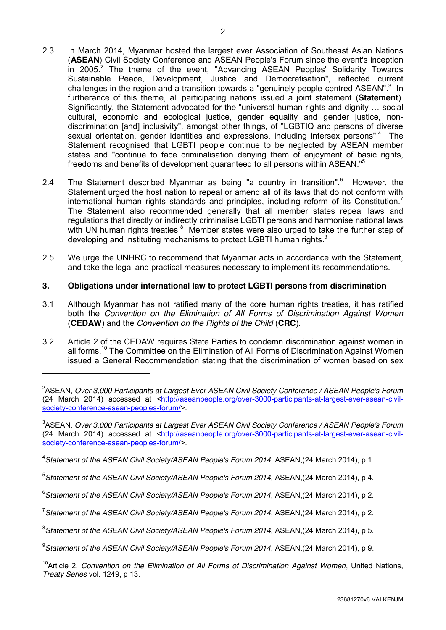- 2.3 In March 2014, Myanmar hosted the largest ever Association of Southeast Asian Nations (**ASEAN**) Civil Society Conference and ASEAN People's Forum since the event's inception in 2005.<sup>2</sup> The theme of the event, "Advancing ASEAN Peoples' Solidarity Towards Sustainable Peace, Development, Justice and Democratisation", reflected current challenges in the region and a transition towards a "genuinely people-centred ASEAN". $3$  In furtherance of this theme, all participating nations issued a joint statement (**Statement**). Significantly, the Statement advocated for the "universal human rights and dignity … social cultural, economic and ecological justice, gender equality and gender justice, nondiscrimination [and] inclusivity", amongst other things, of "LGBTIQ and persons of diverse sexual orientation, gender identities and expressions, including intersex persons".<sup>4</sup> The Statement recognised that LGBTI people continue to be neglected by ASEAN member states and "continue to face criminalisation denying them of enjoyment of basic rights, freedoms and benefits of development guaranteed to all persons within ASEAN." 5
- 2.4 The Statement described Myanmar as being "a country in transition".<sup>6</sup> However, the Statement urged the host nation to repeal or amend all of its laws that do not conform with international human rights standards and principles, including reform of its Constitution.<sup>7</sup> The Statement also recommended generally that all member states repeal laws and regulations that directly or indirectly criminalise LGBTI persons and harmonise national laws with UN human rights treaties.<sup>8</sup> Member states were also urged to take the further step of developing and instituting mechanisms to protect LGBTI human rights.<sup>9</sup>
- 2.5 We urge the UNHRC to recommend that Myanmar acts in accordance with the Statement, and take the legal and practical measures necessary to implement its recommendations.

## **3. Obligations under international law to protect LGBTI persons from discrimination**

- 3.1 Although Myanmar has not ratified many of the core human rights treaties, it has ratified both the *Convention on the Elimination of All Forms of Discrimination Against Women*  (**CEDAW**) and the *Convention on the Rights of the Child* (**CRC**).
- 3.2 Article 2 of the CEDAW requires State Parties to condemn discrimination against women in all forms.<sup>10</sup> The Committee on the Elimination of All Forms of Discrimination Against Women issued a General Recommendation stating that the discrimination of women based on sex

3 ASEAN, *Over 3,000 Participants at Largest Ever ASEAN Civil Society Conference / ASEAN People's Forum*  (24 March 2014) accessed at [<http://aseanpeople.org/over-3000-participants-at-largest-ever-asean-civil](http://aseanpeople.org/over-3000-participants-at-largest-ever-asean-civil-society-conference-asean-peoples-forum/)[society-conference-asean-peoples-forum/>](http://aseanpeople.org/over-3000-participants-at-largest-ever-asean-civil-society-conference-asean-peoples-forum/).

4 *Statement of the ASEAN Civil Society/ASEAN People's Forum 2014*, ASEAN,(24 March 2014), p 1.

-

5 *Statement of the ASEAN Civil Society/ASEAN People's Forum 2014*, ASEAN,(24 March 2014), p 4.

6 *Statement of the ASEAN Civil Society/ASEAN People's Forum 2014*, ASEAN,(24 March 2014), p 2.

7 *Statement of the ASEAN Civil Society/ASEAN People's Forum 2014*, ASEAN,(24 March 2014), p 2.

8 *Statement of the ASEAN Civil Society/ASEAN People's Forum 2014*, ASEAN,(24 March 2014), p 5.

9 *Statement of the ASEAN Civil Society/ASEAN People's Forum 2014*, ASEAN,(24 March 2014), p 9.

10Article 2, *Convention on the Elimination of All Forms of Discrimination Against Women*, United Nations, *Treaty Series* vol. 1249, p 13.

<sup>2</sup> ASEAN, *Over 3,000 Participants at Largest Ever ASEAN Civil Society Conference / ASEAN People's Forum*  (24 March 2014) accessed at [<http://aseanpeople.org/over-3000-participants-at-largest-ever-asean-civil](http://aseanpeople.org/over-3000-participants-at-largest-ever-asean-civil-society-conference-asean-peoples-forum/)[society-conference-asean-peoples-forum/>](http://aseanpeople.org/over-3000-participants-at-largest-ever-asean-civil-society-conference-asean-peoples-forum/).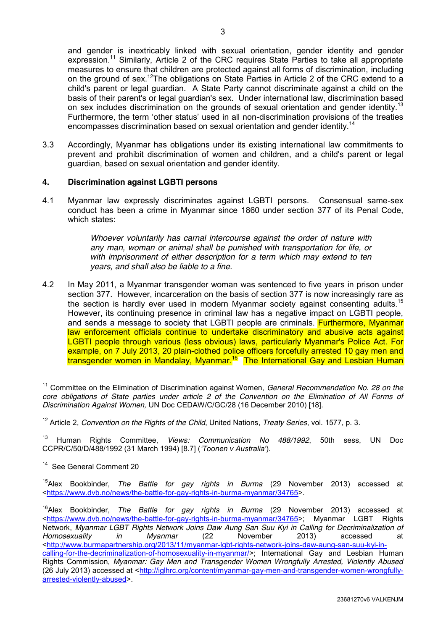and gender is inextricably linked with sexual orientation, gender identity and gender expression.<sup>11</sup> Similarly, Article 2 of the CRC requires State Parties to take all appropriate measures to ensure that children are protected against all forms of discrimination, including on the ground of sex.<sup>12</sup>The obligations on State Parties in Article 2 of the CRC extend to a child's parent or legal guardian. A State Party cannot discriminate against a child on the basis of their parent's or legal guardian's sex. Under international law, discrimination based on sex includes discrimination on the grounds of sexual orientation and gender identity.<sup>13</sup> Furthermore, the term 'other status' used in all non-discrimination provisions of the treaties encompasses discrimination based on sexual orientation and gender identity.<sup>14</sup>

3.3 Accordingly, Myanmar has obligations under its existing international law commitments to prevent and prohibit discrimination of women and children, and a child's parent or legal guardian, based on sexual orientation and gender identity.

### **4. Discrimination against LGBTI persons**

4.1 Myanmar law expressly discriminates against LGBTI persons. Consensual same-sex conduct has been a crime in Myanmar since 1860 under section 377 of its Penal Code, which states:

> *Whoever voluntarily has carnal intercourse against the order of nature with any man, woman or animal shall be punished with transportation for life, or with imprisonment of either description for a term which may extend to ten years, and shall also be liable to a fine*.

4.2 In May 2011, a Myanmar transgender woman was sentenced to five years in prison under section 377. However, incarceration on the basis of section 377 is now increasingly rare as the section is hardly ever used in modern Myanmar society against consenting adults.<sup>15</sup> However, its continuing presence in criminal law has a negative impact on LGBTI people, and sends a message to society that LGBTI people are criminals. **Furthermore, Myanmar** law enforcement officials continue to undertake discriminatory and abusive acts against LGBTI people through various (less obvious) laws, particularly Myanmar's Police Act. For example, on 7 July 2013, 20 plain-clothed police officers forcefully arrested 10 gay men and transgender women in Mandalay, Myanmar.<sup>16</sup> The International Gay and Lesbian Human

<sup>13</sup> Human Rights Committee, *Views: Communication No 488/1992*, 50th sess, UN Doc CCPR/C/50/D/488/1992 (31 March 1994) [8.7] (*'Toonen v Australia'*).

<sup>14</sup> See General Comment 20

-

15Alex Bookbinder, *The Battle for gay rights in Burma* (29 November 2013) accessed at [<https://www.dvb.no/news/the-battle-for-gay-rights-in-burma-myanmar/34765>](https://www.dvb.no/news/the-battle-for-gay-rights-in-burma-myanmar/34765).

<sup>11</sup> Committee on the Elimination of Discrimination against Women, *General Recommendation No. 28 on the core obligations of State parties under article 2 of the Convention on the Elimination of All Forms of Discrimination Against Women,* UN Doc CEDAW/C/GC/28 (16 December 2010) [18].

<sup>12</sup> Article 2, *Convention on the Rights of the Child*, United Nations, *Treaty Series*, vol. 1577, p. 3.

<sup>16</sup>Alex Bookbinder, *The Battle for gay rights in Burma* (29 November 2013) accessed at [<https://www.dvb.no/news/the-battle-for-gay-rights-in-burma-myanmar/34765>](https://www.dvb.no/news/the-battle-for-gay-rights-in-burma-myanmar/34765); Myanmar LGBT Rights Network, *Myanmar LGBT Rights Network Joins Daw Aung San Suu Kyi in Calling for Decriminalization of Homosexuality in Myanmar* (22 November 2013) accessed at [<http://www.burmapartnership.org/2013/11/myanmar-lgbt-rights-network-joins-daw-aung-san-suu-kyi-in](http://www.burmapartnership.org/2013/11/myanmar-lgbt-rights-network-joins-daw-aung-san-suu-kyi-in-calling-for-the-decriminalization-of-homosexuality-in-myanmar/)[calling-for-the-decriminalization-of-homosexuality-in-myanmar/>](http://www.burmapartnership.org/2013/11/myanmar-lgbt-rights-network-joins-daw-aung-san-suu-kyi-in-calling-for-the-decriminalization-of-homosexuality-in-myanmar/); International Gay and Lesbian Human Rights Commission, *Myanmar: Gay Men and Transgender Women Wrongfully Arrested, Violently Abused*  (26 July 2013) accessed at [<http://iglhrc.org/content/myanmar-gay-men-and-transgender-women-wrongfully](http://iglhrc.org/content/myanmar-gay-men-and-transgender-women-wrongfully-arrested-violently-abused)[arrested-violently-abused>](http://iglhrc.org/content/myanmar-gay-men-and-transgender-women-wrongfully-arrested-violently-abused).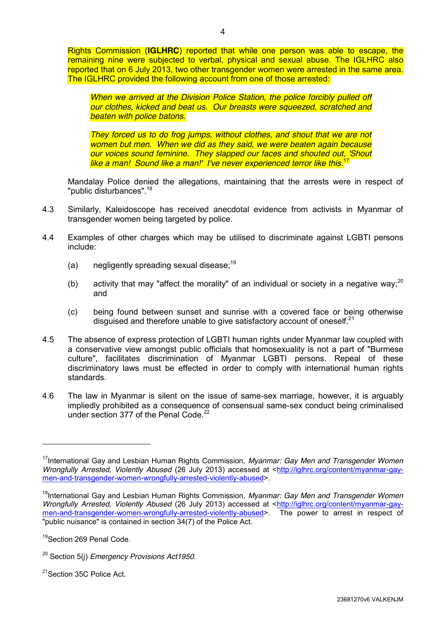*When we arrived at the Division Police Station, the police forcibly pulled off our clothes, kicked and beat us. Our breasts were squeezed, scratched and beaten with police batons.*

*They forced us to do frog jumps, without clothes, and shout that we are not women but men. When we did as they said, we were beaten again because our voices sound feminine. They slapped our faces and shouted out, 'Shout like a man! Sound like a man!' I've never experienced terror like this.*<sup>17</sup>

Mandalay Police denied the allegations, maintaining that the arrests were in respect of "public disturbances".<sup>18</sup>

- 4.3 Similarly, Kaleidoscope has received anecdotal evidence from activists in Myanmar of transgender women being targeted by police.
- 4.4 Examples of other charges which may be utilised to discriminate against LGBTI persons include:
	- (a) negligently spreading sexual disease;<sup>19</sup>
	- (b) activity that may "affect the morality" of an individual or society in a negative way;<sup>20</sup> and
	- (c) being found between sunset and sunrise with a covered face or being otherwise disguised and therefore unable to give satisfactory account of oneself. $21$
- 4.5 The absence of express protection of LGBTI human rights under Myanmar law coupled with a conservative view amongst public officials that homosexuality is not a part of "Burmese culture", facilitates discrimination of Myanmar LGBTI persons. Repeal of these discriminatory laws must be effected in order to comply with international human rights standards.
- 4.6 The law in Myanmar is silent on the issue of same-sex marriage, however, it is arguably impliedly prohibited as a consequence of consensual same-sex conduct being criminalised under section 377 of the Penal Code.<sup>22</sup>

-

<sup>21</sup>Section 35C Police Act.

<sup>&</sup>lt;sup>17</sup>International Gay and Lesbian Human Rights Commission, *Myanmar: Gay Men and Transgender Women Wrongfully Arrested, Violently Abused* (26 July 2013) accessed at [<http://iglhrc.org/content/myanmar-gay](http://iglhrc.org/content/myanmar-gay-men-and-transgender-women-wrongfully-arrested-violently-abused)[men-and-transgender-women-wrongfully-arrested-violently-abused>](http://iglhrc.org/content/myanmar-gay-men-and-transgender-women-wrongfully-arrested-violently-abused).

<sup>&</sup>lt;sup>18</sup>International Gay and Lesbian Human Rights Commission, *Myanmar: Gay Men and Transgender Women Wrongfully Arrested, Violently Abused* (26 July 2013) accessed at [<http://iglhrc.org/content/myanmar-gay](http://iglhrc.org/content/myanmar-gay-men-and-transgender-women-wrongfully-arrested-violently-abused)[men-and-transgender-women-wrongfully-arrested-violently-abused>](http://iglhrc.org/content/myanmar-gay-men-and-transgender-women-wrongfully-arrested-violently-abused). The power to arrest in respect of "public nuisance" is contained in section 34(7) of the Police Act.

<sup>&</sup>lt;sup>19</sup>Section 269 Penal Code.

<sup>20</sup> Section 5(j) *Emergency Provisions Act1950*.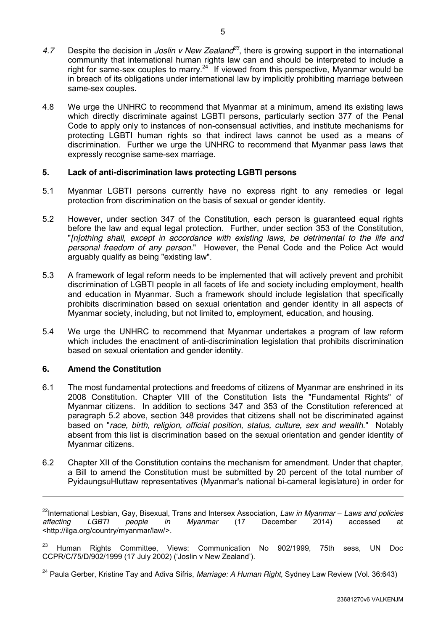- 4.7 Despite the decision in *Joslin v New Zealand<sup>23</sup>*, there is growing support in the international community that international human rights law can and should be interpreted to include a right for same-sex couples to marry.<sup>24</sup> If viewed from this perspective, Myanmar would be in breach of its obligations under international law by implicitly prohibiting marriage between same-sex couples.
- 4.8 We urge the UNHRC to recommend that Myanmar at a minimum, amend its existing laws which directly discriminate against LGBTI persons, particularly section 377 of the Penal Code to apply only to instances of non-consensual activities, and institute mechanisms for protecting LGBTI human rights so that indirect laws cannot be used as a means of discrimination. Further we urge the UNHRC to recommend that Myanmar pass laws that expressly recognise same-sex marriage.

## **5. Lack of anti-discrimination laws protecting LGBTI persons**

- 5.1 Myanmar LGBTI persons currently have no express right to any remedies or legal protection from discrimination on the basis of sexual or gender identity.
- <span id="page-5-0"></span>5.2 However, under section 347 of the Constitution, each person is guaranteed equal rights before the law and equal legal protection. Further, under section 353 of the Constitution, "*[n]othing shall, except in accordance with existing laws, be detrimental to the life and personal freedom of any person.*" However, the Penal Code and the Police Act would arguably qualify as being "existing law".
- 5.3 A framework of legal reform needs to be implemented that will actively prevent and prohibit discrimination of LGBTI people in all facets of life and society including employment, health and education in Myanmar. Such a framework should include legislation that specifically prohibits discrimination based on sexual orientation and gender identity in all aspects of Myanmar society, including, but not limited to, employment, education, and housing.
- 5.4 We urge the UNHRC to recommend that Myanmar undertakes a program of law reform which includes the enactment of anti-discrimination legislation that prohibits discrimination based on sexual orientation and gender identity.

#### **6. Amend the Constitution**

-

- 6.1 The most fundamental protections and freedoms of citizens of Myanmar are enshrined in its 2008 Constitution. Chapter VIII of the Constitution lists the "Fundamental Rights" of Myanmar citizens. In addition to sections 347 and 353 of the Constitution referenced at paragraph [5.2](#page-5-0) above, section 348 provides that citizens shall not be discriminated against based on "*race, birth, religion, official position, status, culture, sex and wealth.*" Notably absent from this list is discrimination based on the sexual orientation and gender identity of Myanmar citizens.
- 6.2 Chapter XII of the Constitution contains the mechanism for amendment. Under that chapter, a Bill to amend the Constitution must be submitted by 20 percent of the total number of PyidaungsuHluttaw representatives (Myanmar's national bi-cameral legislature) in order for

<sup>23</sup> Human Rights Committee, Views: Communication No 902/1999, 75th sess, UN Doc CCPR/C/75/D/902/1999 (17 July 2002) ('Joslin v New Zealand').

<sup>&</sup>lt;sup>22</sup>International Lesbian, Gay, Bisexual, Trans and Intersex Association, *Law in Myanmar – Laws and policies* af<br>affecting *LGBTI people in Myanmar* (17 December 2014) *affecting LGBTI people in Myanmar* (17 December 2014) accessed at <http://ilga.org/country/myanmar/law/>.

<sup>24</sup> Paula Gerber, Kristine Tay and Adiva Sifris, *Marriage: A Human Right,* Sydney Law Review (Vol. 36:643)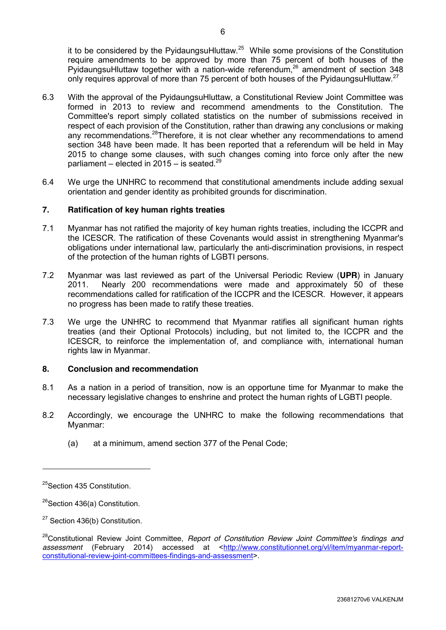it to be considered by the PyidaungsuHluttaw.<sup>25</sup> While some provisions of the Constitution require amendments to be approved by more than 75 percent of both houses of the PyidaungsuHluttaw together with a nation-wide referendum,<sup>26</sup> amendment of section 348 only requires approval of more than 75 percent of both houses of the PyidaungsuHluttaw.<sup>27</sup>

- 6.3 With the approval of the PyidaungsuHluttaw, a Constitutional Review Joint Committee was formed in 2013 to review and recommend amendments to the Constitution. The Committee's report simply collated statistics on the number of submissions received in respect of each provision of the Constitution, rather than drawing any conclusions or making any recommendations.<sup>28</sup>Therefore, it is not clear whether any recommendations to amend section 348 have been made. It has been reported that a referendum will be held in May 2015 to change some clauses, with such changes coming into force only after the new parliament – elected in  $2015 -$  is seated.<sup>29</sup>
- 6.4 We urge the UNHRC to recommend that constitutional amendments include adding sexual orientation and gender identity as prohibited grounds for discrimination.

# **7. Ratification of key human rights treaties**

- 7.1 Myanmar has not ratified the majority of key human rights treaties, including the ICCPR and the ICESCR. The ratification of these Covenants would assist in strengthening Myanmar's obligations under international law, particularly the anti-discrimination provisions, in respect of the protection of the human rights of LGBTI persons.
- 7.2 Myanmar was last reviewed as part of the Universal Periodic Review (**UPR**) in January 2011. Nearly 200 recommendations were made and approximately 50 of these recommendations called for ratification of the ICCPR and the ICESCR. However, it appears no progress has been made to ratify these treaties.
- 7.3 We urge the UNHRC to recommend that Myanmar ratifies all significant human rights treaties (and their Optional Protocols) including, but not limited to, the ICCPR and the ICESCR, to reinforce the implementation of, and compliance with, international human rights law in Myanmar.

#### **8. Conclusion and recommendation**

- 8.1 As a nation in a period of transition, now is an opportune time for Myanmar to make the necessary legislative changes to enshrine and protect the human rights of LGBTI people.
- 8.2 Accordingly, we encourage the UNHRC to make the following recommendations that Myanmar:
	- (a) at a minimum, amend section 377 of the Penal Code;

-

<sup>&</sup>lt;sup>25</sup>Section 435 Constitution.

 $26$ Section 436(a) Constitution.

<sup>&</sup>lt;sup>27</sup> Section 436(b) Constitution.

<sup>&</sup>lt;sup>28</sup>Constitutional Review Joint Committee, *Report of Constitution Review Joint Committee's findings and* assessment (February 2014) accessed at [<http://www.constitutionnet.org/vl/item/myanmar-report](http://www.constitutionnet.org/vl/item/myanmar-report-constitutional-review-joint-committees-findings-and-assessment)[constitutional-review-joint-committees-findings-and-assessment>](http://www.constitutionnet.org/vl/item/myanmar-report-constitutional-review-joint-committees-findings-and-assessment).